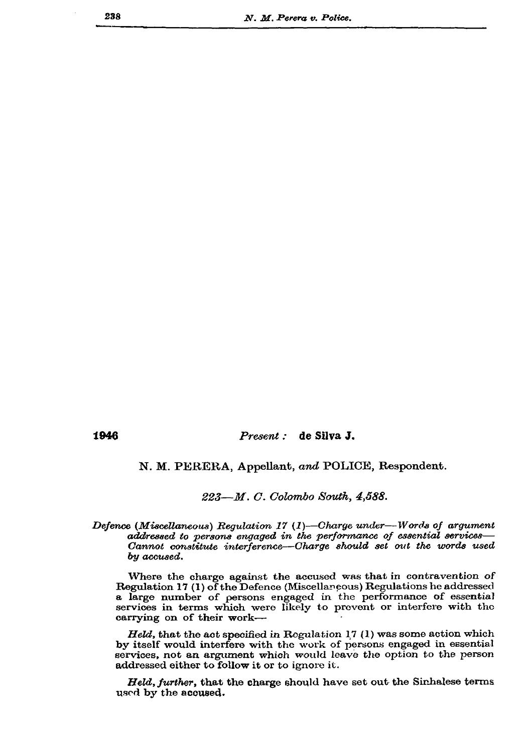1946

## Present : de Silva J.

N. M. PERERA, Appellant, and POLICE, Respondent.

223-M. C. Colombo South, 4,588.

Defence (Miscellaneous) Regulation 17 (1)—Charge under—Words of argument addressed to persons engaged in the performance of essential services-Cannot constitute interference—Charge should set out the words used by accused.

Where the charge against the accused was that in contravention of Regulation 17 (1) of the Defence (Miscellaneous) Regulations he addressed a large number of persons engaged in the performance of essential services in terms which were likely to prevent or interfere with the carrying on of their work-

Held, that the act specified in Regulation 17 (1) was some action which by itself would interfere with the work of persons engaged in essential services, not an argument which would leave the option to the person addressed either to follow it or to ignore it.

Held, further, that the charge should have set out the Sinhalese terms used by the acoused.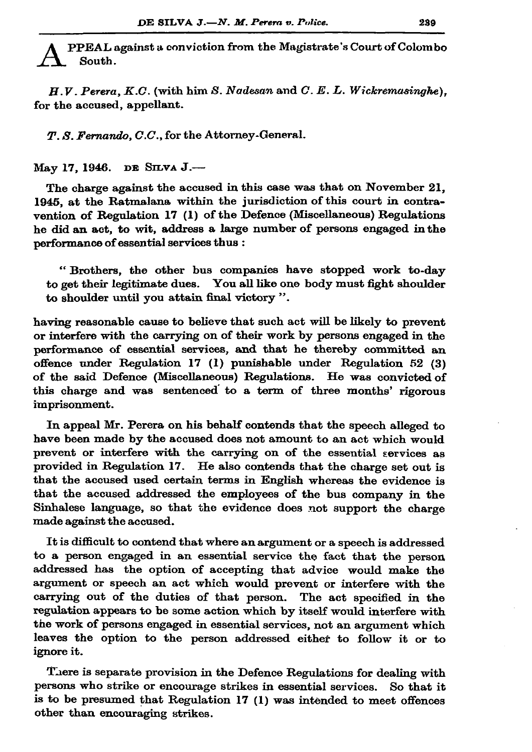PPEAL against a conviction from the Magistrate's Court of Colombo South.

 $H.V.$  Perera,  $K.C.$  (with him S. Nadesan and  $C.E.L.$  Wickremasinghe). for the accused, appellant.

T. S. Fernando, C.C., for the Attorney-General.

Мау 17, 1946. DE SILVA J.-

The charge against the accused in this case was that on November 21. 1945, at the Ratmalana within the jurisdiction of this court in contravention of Regulation 17 (1) of the Defence (Miscellaneous) Regulations he did an act, to wit, address a large number of persons engaged in the performance of essential services thus :

"Brothers, the other bus companies have stopped work to-day to get their legitimate dues. You all like one body must fight shoulder to shoulder until you attain final victory".

having reasonable cause to believe that such act will be likely to prevent or interfere with the carrying on of their work by persons engaged in the performance of essential services, and that he thereby committed an offence under Regulation 17 (1) punishable under Regulation 52 (3) of the said Defence (Miscellaneous) Regulations. He was convicted of this charge and was sentenced to a term of three months' rigorous imprisonment.

In appeal Mr. Perera on his behalf contends that the speech alleged to have been made by the accused does not amount to an act which would prevent or interfere with the carrying on of the essential services as provided in Regulation 17. He also contends that the charge set out is that the accused used certain terms in English whereas the evidence is that the accused addressed the employees of the bus company in the Sinhalese language, so that the evidence does not support the charge made against the accused.

It is difficult to contend that where an argument or a speech is addressed to a person engaged in an essential service the fact that the person addressed has the option of accepting that advice would make the argument or speech an act which would prevent or interfere with the carrying out of the duties of that person. The act specified in the regulation appears to be some action which by itself would interfere with the work of persons engaged in essential services, not an argument which leaves the option to the person addressed either to follow it or to ignore it.

There is separate provision in the Defence Regulations for dealing with persons who strike or encourage strikes in essential services. So that it is to be presumed that Regulation 17 (1) was intended to meet offences other than encouraging strikes.